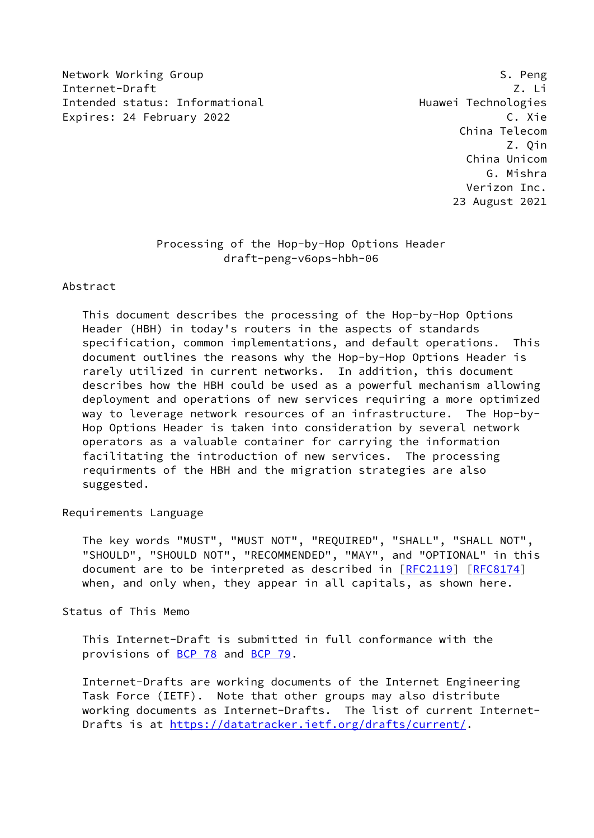Network Working Group States and the set of the set of the States of States and States and States and States and Internet-Draft Z. Li Intended status: Informational example and Huawei Technologies Expires: 24 February 2022 C. Xie

 China Telecom Z. Qin China Unicom G. Mishra Verizon Inc. 23 August 2021

# Processing of the Hop-by-Hop Options Header draft-peng-v6ops-hbh-06

## Abstract

 This document describes the processing of the Hop-by-Hop Options Header (HBH) in today's routers in the aspects of standards specification, common implementations, and default operations. This document outlines the reasons why the Hop-by-Hop Options Header is rarely utilized in current networks. In addition, this document describes how the HBH could be used as a powerful mechanism allowing deployment and operations of new services requiring a more optimized way to leverage network resources of an infrastructure. The Hop-by- Hop Options Header is taken into consideration by several network operators as a valuable container for carrying the information facilitating the introduction of new services. The processing requirments of the HBH and the migration strategies are also suggested.

Requirements Language

 The key words "MUST", "MUST NOT", "REQUIRED", "SHALL", "SHALL NOT", "SHOULD", "SHOULD NOT", "RECOMMENDED", "MAY", and "OPTIONAL" in this document are to be interpreted as described in [\[RFC2119](https://datatracker.ietf.org/doc/pdf/rfc2119)] [\[RFC8174](https://datatracker.ietf.org/doc/pdf/rfc8174)] when, and only when, they appear in all capitals, as shown here.

Status of This Memo

 This Internet-Draft is submitted in full conformance with the provisions of [BCP 78](https://datatracker.ietf.org/doc/pdf/bcp78) and [BCP 79](https://datatracker.ietf.org/doc/pdf/bcp79).

 Internet-Drafts are working documents of the Internet Engineering Task Force (IETF). Note that other groups may also distribute working documents as Internet-Drafts. The list of current Internet- Drafts is at<https://datatracker.ietf.org/drafts/current/>.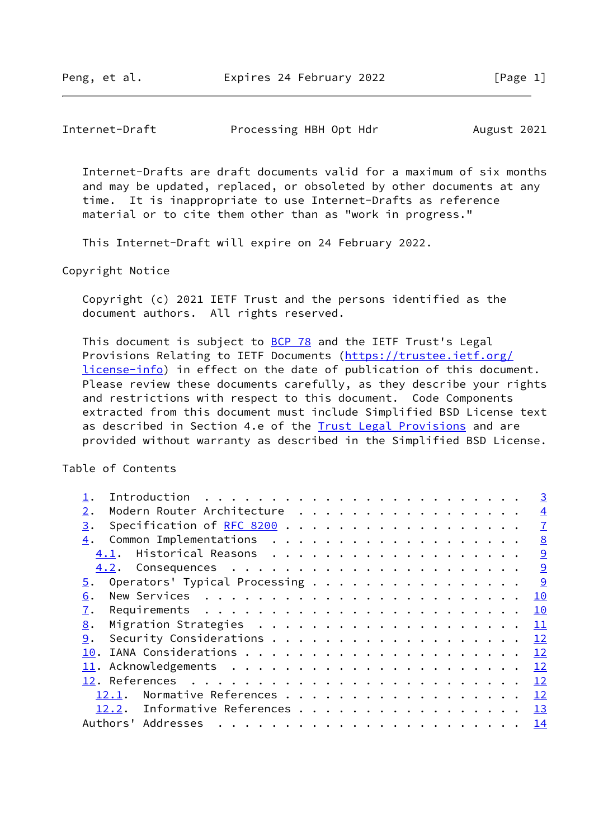## Internet-Draft Processing HBH Opt Hdr August 2021

 Internet-Drafts are draft documents valid for a maximum of six months and may be updated, replaced, or obsoleted by other documents at any time. It is inappropriate to use Internet-Drafts as reference material or to cite them other than as "work in progress."

This Internet-Draft will expire on 24 February 2022.

Copyright Notice

 Copyright (c) 2021 IETF Trust and the persons identified as the document authors. All rights reserved.

This document is subject to **[BCP 78](https://datatracker.ietf.org/doc/pdf/bcp78)** and the IETF Trust's Legal Provisions Relating to IETF Documents ([https://trustee.ietf.org/](https://trustee.ietf.org/license-info) [license-info](https://trustee.ietf.org/license-info)) in effect on the date of publication of this document. Please review these documents carefully, as they describe your rights and restrictions with respect to this document. Code Components extracted from this document must include Simplified BSD License text as described in Section 4.e of the [Trust Legal Provisions](https://trustee.ietf.org/license-info) and are provided without warranty as described in the Simplified BSD License.

Table of Contents

|                                                                                                                                                                                                                                                                                                                                                                                                                                                                                  | $\overline{3}$ |
|----------------------------------------------------------------------------------------------------------------------------------------------------------------------------------------------------------------------------------------------------------------------------------------------------------------------------------------------------------------------------------------------------------------------------------------------------------------------------------|----------------|
| Modern Router Architecture<br>2.                                                                                                                                                                                                                                                                                                                                                                                                                                                 | $\overline{4}$ |
| Specification of RFC 8200<br>3.                                                                                                                                                                                                                                                                                                                                                                                                                                                  | $\overline{1}$ |
| 4.                                                                                                                                                                                                                                                                                                                                                                                                                                                                               | 8              |
| 4.1.                                                                                                                                                                                                                                                                                                                                                                                                                                                                             | 9              |
|                                                                                                                                                                                                                                                                                                                                                                                                                                                                                  | 9              |
| Operators' Typical Processing<br>5.                                                                                                                                                                                                                                                                                                                                                                                                                                              | <u>୍ର</u>      |
| 6.                                                                                                                                                                                                                                                                                                                                                                                                                                                                               | 10             |
| 7.                                                                                                                                                                                                                                                                                                                                                                                                                                                                               | 10             |
| 8.                                                                                                                                                                                                                                                                                                                                                                                                                                                                               | 11             |
| 9.                                                                                                                                                                                                                                                                                                                                                                                                                                                                               | 12             |
| 10.                                                                                                                                                                                                                                                                                                                                                                                                                                                                              | 12             |
|                                                                                                                                                                                                                                                                                                                                                                                                                                                                                  | 12             |
|                                                                                                                                                                                                                                                                                                                                                                                                                                                                                  | 12             |
| Normative References<br>12.1.                                                                                                                                                                                                                                                                                                                                                                                                                                                    | 12             |
| Informative References<br>12.2.                                                                                                                                                                                                                                                                                                                                                                                                                                                  | 13             |
| Authors' Addresses<br>$\mathbf{r} = \mathbf{r} \cdot \mathbf{r} + \mathbf{r} \cdot \mathbf{r} + \mathbf{r} \cdot \mathbf{r} + \mathbf{r} \cdot \mathbf{r} + \mathbf{r} \cdot \mathbf{r} + \mathbf{r} \cdot \mathbf{r} + \mathbf{r} \cdot \mathbf{r} + \mathbf{r} \cdot \mathbf{r} + \mathbf{r} \cdot \mathbf{r} + \mathbf{r} \cdot \mathbf{r} + \mathbf{r} \cdot \mathbf{r} + \mathbf{r} \cdot \mathbf{r} + \mathbf{r} \cdot \mathbf{r} + \mathbf{r} \cdot \mathbf{r} + \mathbf$ | 14             |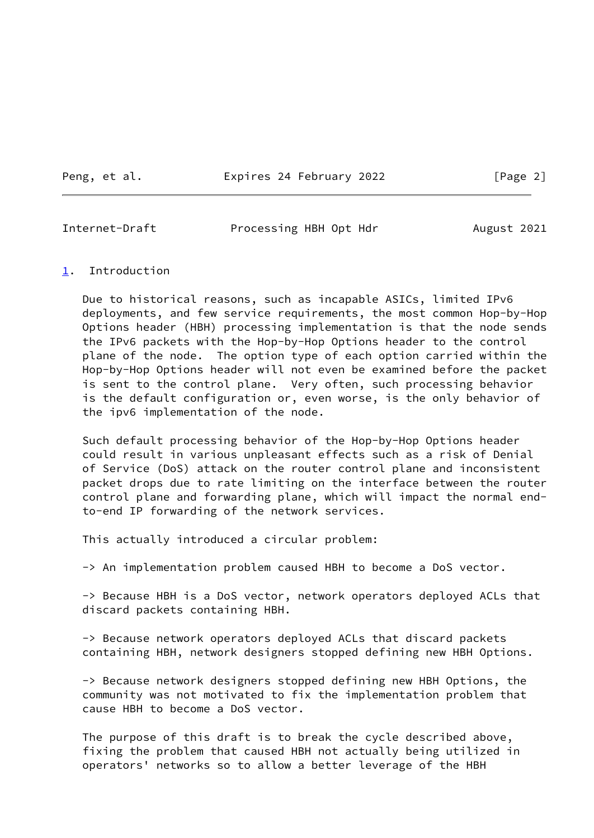Peng, et al. **Expires 24 February 2022** [Page 2]

<span id="page-2-1"></span>Internet-Draft Processing HBH Opt Hdr August 2021

### <span id="page-2-0"></span>[1](#page-2-0). Introduction

 Due to historical reasons, such as incapable ASICs, limited IPv6 deployments, and few service requirements, the most common Hop-by-Hop Options header (HBH) processing implementation is that the node sends the IPv6 packets with the Hop-by-Hop Options header to the control plane of the node. The option type of each option carried within the Hop-by-Hop Options header will not even be examined before the packet is sent to the control plane. Very often, such processing behavior is the default configuration or, even worse, is the only behavior of the ipv6 implementation of the node.

 Such default processing behavior of the Hop-by-Hop Options header could result in various unpleasant effects such as a risk of Denial of Service (DoS) attack on the router control plane and inconsistent packet drops due to rate limiting on the interface between the router control plane and forwarding plane, which will impact the normal end to-end IP forwarding of the network services.

This actually introduced a circular problem:

-> An implementation problem caused HBH to become a DoS vector.

 -> Because HBH is a DoS vector, network operators deployed ACLs that discard packets containing HBH.

 -> Because network operators deployed ACLs that discard packets containing HBH, network designers stopped defining new HBH Options.

 -> Because network designers stopped defining new HBH Options, the community was not motivated to fix the implementation problem that cause HBH to become a DoS vector.

 The purpose of this draft is to break the cycle described above, fixing the problem that caused HBH not actually being utilized in operators' networks so to allow a better leverage of the HBH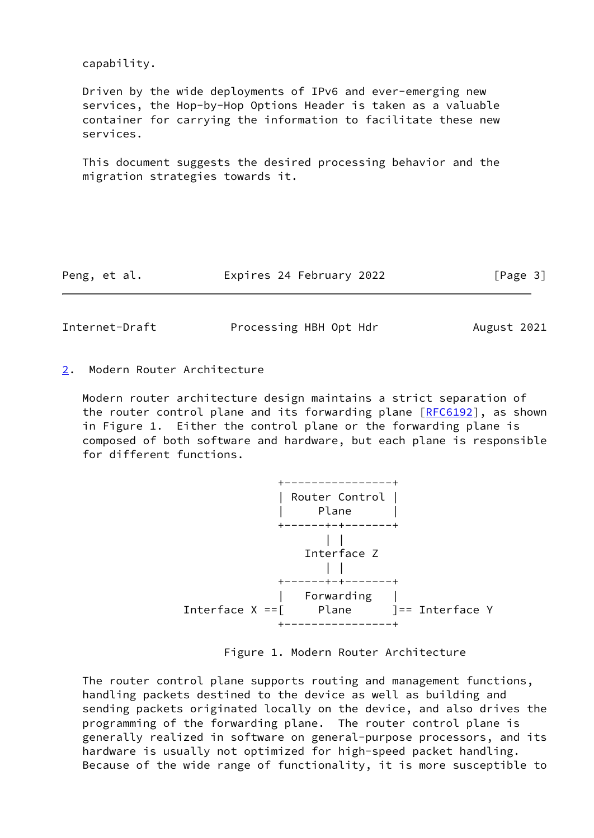capability.

 Driven by the wide deployments of IPv6 and ever-emerging new services, the Hop-by-Hop Options Header is taken as a valuable container for carrying the information to facilitate these new services.

 This document suggests the desired processing behavior and the migration strategies towards it.

| Peng, et al. | Expires 24 February 2022 | [Page 3] |
|--------------|--------------------------|----------|
|--------------|--------------------------|----------|

<span id="page-3-1"></span>Internet-Draft Processing HBH Opt Hdr August 2021

<span id="page-3-0"></span>[2](#page-3-0). Modern Router Architecture

 Modern router architecture design maintains a strict separation of the router control plane and its forwarding plane [[RFC6192](https://datatracker.ietf.org/doc/pdf/rfc6192)], as shown in Figure 1. Either the control plane or the forwarding plane is composed of both software and hardware, but each plane is responsible for different functions.



Figure 1. Modern Router Architecture

 The router control plane supports routing and management functions, handling packets destined to the device as well as building and sending packets originated locally on the device, and also drives the programming of the forwarding plane. The router control plane is generally realized in software on general-purpose processors, and its hardware is usually not optimized for high-speed packet handling. Because of the wide range of functionality, it is more susceptible to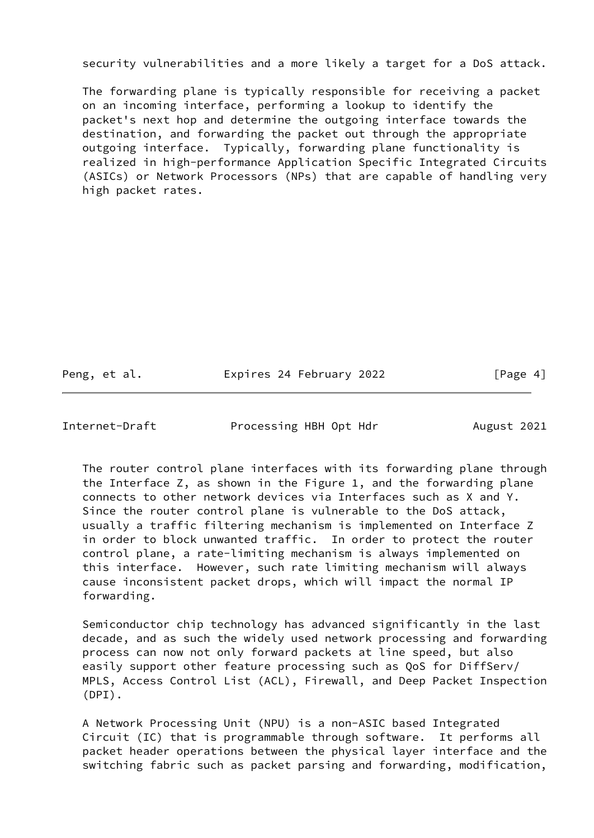security vulnerabilities and a more likely a target for a DoS attack.

 The forwarding plane is typically responsible for receiving a packet on an incoming interface, performing a lookup to identify the packet's next hop and determine the outgoing interface towards the destination, and forwarding the packet out through the appropriate outgoing interface. Typically, forwarding plane functionality is realized in high-performance Application Specific Integrated Circuits (ASICs) or Network Processors (NPs) that are capable of handling very high packet rates.

Peng, et al. **Expires 24 February 2022** [Page 4]

Internet-Draft Processing HBH Opt Hdr August 2021

 The router control plane interfaces with its forwarding plane through the Interface Z, as shown in the Figure 1, and the forwarding plane connects to other network devices via Interfaces such as X and Y. Since the router control plane is vulnerable to the DoS attack, usually a traffic filtering mechanism is implemented on Interface Z in order to block unwanted traffic. In order to protect the router control plane, a rate-limiting mechanism is always implemented on this interface. However, such rate limiting mechanism will always cause inconsistent packet drops, which will impact the normal IP forwarding.

 Semiconductor chip technology has advanced significantly in the last decade, and as such the widely used network processing and forwarding process can now not only forward packets at line speed, but also easily support other feature processing such as QoS for DiffServ/ MPLS, Access Control List (ACL), Firewall, and Deep Packet Inspection (DPI).

 A Network Processing Unit (NPU) is a non-ASIC based Integrated Circuit (IC) that is programmable through software. It performs all packet header operations between the physical layer interface and the switching fabric such as packet parsing and forwarding, modification,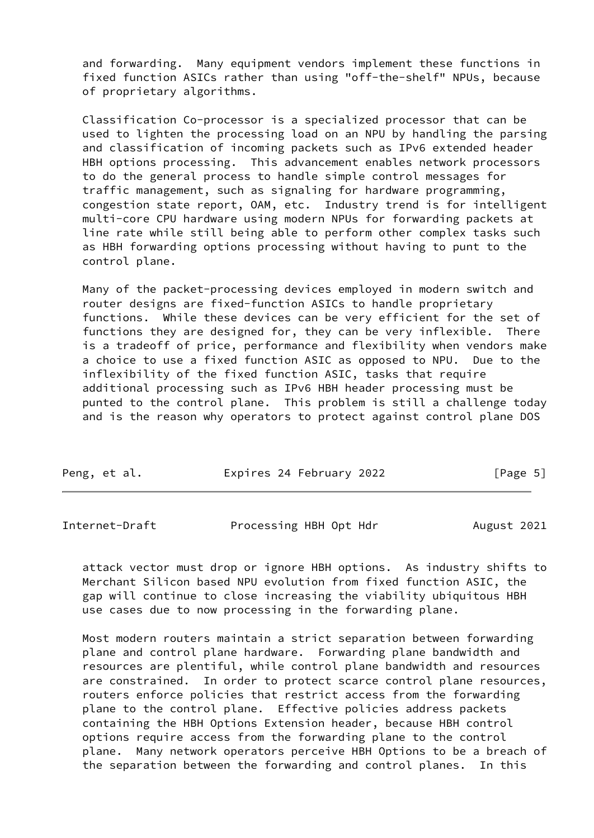and forwarding. Many equipment vendors implement these functions in fixed function ASICs rather than using "off-the-shelf" NPUs, because of proprietary algorithms.

 Classification Co-processor is a specialized processor that can be used to lighten the processing load on an NPU by handling the parsing and classification of incoming packets such as IPv6 extended header HBH options processing. This advancement enables network processors to do the general process to handle simple control messages for traffic management, such as signaling for hardware programming, congestion state report, OAM, etc. Industry trend is for intelligent multi-core CPU hardware using modern NPUs for forwarding packets at line rate while still being able to perform other complex tasks such as HBH forwarding options processing without having to punt to the control plane.

 Many of the packet-processing devices employed in modern switch and router designs are fixed-function ASICs to handle proprietary functions. While these devices can be very efficient for the set of functions they are designed for, they can be very inflexible. There is a tradeoff of price, performance and flexibility when vendors make a choice to use a fixed function ASIC as opposed to NPU. Due to the inflexibility of the fixed function ASIC, tasks that require additional processing such as IPv6 HBH header processing must be punted to the control plane. This problem is still a challenge today and is the reason why operators to protect against control plane DOS

|  | Peng, et al. | Expires 24 February 2022 | [Page 5] |
|--|--------------|--------------------------|----------|
|--|--------------|--------------------------|----------|

Internet-Draft Processing HBH Opt Hdr August 2021

 attack vector must drop or ignore HBH options. As industry shifts to Merchant Silicon based NPU evolution from fixed function ASIC, the gap will continue to close increasing the viability ubiquitous HBH use cases due to now processing in the forwarding plane.

 Most modern routers maintain a strict separation between forwarding plane and control plane hardware. Forwarding plane bandwidth and resources are plentiful, while control plane bandwidth and resources are constrained. In order to protect scarce control plane resources, routers enforce policies that restrict access from the forwarding plane to the control plane. Effective policies address packets containing the HBH Options Extension header, because HBH control options require access from the forwarding plane to the control plane. Many network operators perceive HBH Options to be a breach of the separation between the forwarding and control planes. In this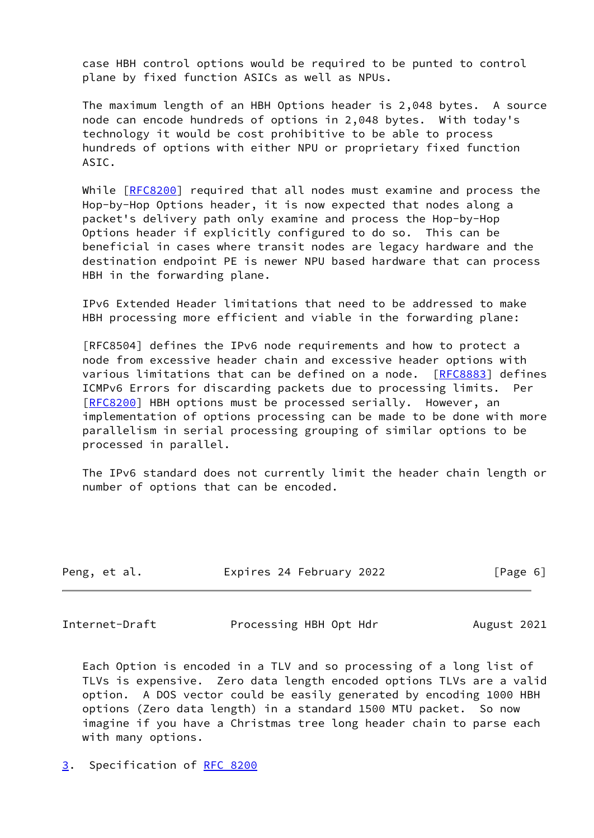case HBH control options would be required to be punted to control plane by fixed function ASICs as well as NPUs.

 The maximum length of an HBH Options header is 2,048 bytes. A source node can encode hundreds of options in 2,048 bytes. With today's technology it would be cost prohibitive to be able to process hundreds of options with either NPU or proprietary fixed function ASIC.

 While [[RFC8200](https://datatracker.ietf.org/doc/pdf/rfc8200)] required that all nodes must examine and process the Hop-by-Hop Options header, it is now expected that nodes along a packet's delivery path only examine and process the Hop-by-Hop Options header if explicitly configured to do so. This can be beneficial in cases where transit nodes are legacy hardware and the destination endpoint PE is newer NPU based hardware that can process HBH in the forwarding plane.

 IPv6 Extended Header limitations that need to be addressed to make HBH processing more efficient and viable in the forwarding plane:

 [RFC8504] defines the IPv6 node requirements and how to protect a node from excessive header chain and excessive header options with various limitations that can be defined on a node. [\[RFC8883](https://datatracker.ietf.org/doc/pdf/rfc8883)] defines ICMPv6 Errors for discarding packets due to processing limits. Per [\[RFC8200](https://datatracker.ietf.org/doc/pdf/rfc8200)] HBH options must be processed serially. However, an implementation of options processing can be made to be done with more parallelism in serial processing grouping of similar options to be processed in parallel.

 The IPv6 standard does not currently limit the header chain length or number of options that can be encoded.

| Peng, et al. | Expires 24 February 2022 | [Page 6] |
|--------------|--------------------------|----------|
|--------------|--------------------------|----------|

<span id="page-6-1"></span>Internet-Draft Processing HBH Opt Hdr August 2021

 Each Option is encoded in a TLV and so processing of a long list of TLVs is expensive. Zero data length encoded options TLVs are a valid option. A DOS vector could be easily generated by encoding 1000 HBH options (Zero data length) in a standard 1500 MTU packet. So now imagine if you have a Christmas tree long header chain to parse each with many options.

<span id="page-6-0"></span>[3](#page-6-0). Specification of [RFC 8200](https://datatracker.ietf.org/doc/pdf/rfc8200)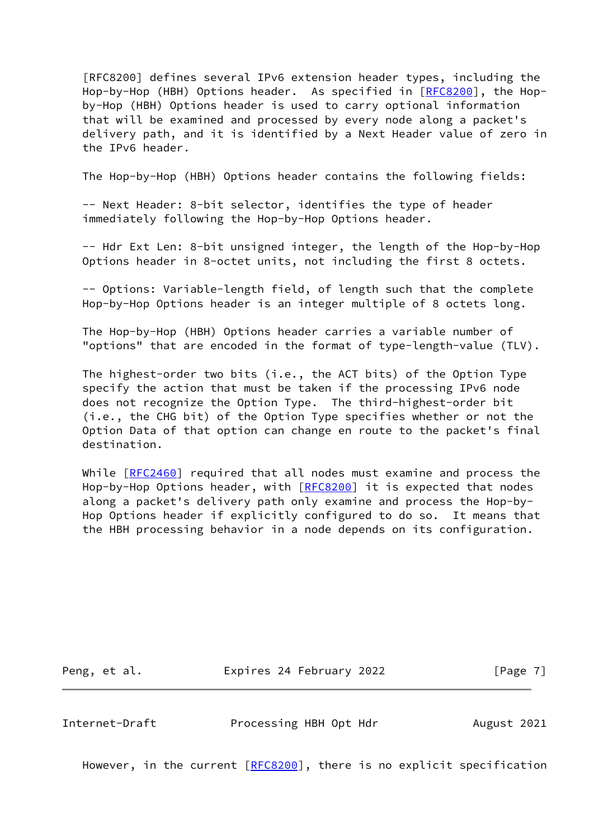[RFC8200] defines several IPv6 extension header types, including the Hop-by-Hop (HBH) Options header. As specified in [[RFC8200](https://datatracker.ietf.org/doc/pdf/rfc8200)], the Hop by-Hop (HBH) Options header is used to carry optional information that will be examined and processed by every node along a packet's delivery path, and it is identified by a Next Header value of zero in the IPv6 header.

The Hop-by-Hop (HBH) Options header contains the following fields:

 -- Next Header: 8-bit selector, identifies the type of header immediately following the Hop-by-Hop Options header.

 -- Hdr Ext Len: 8-bit unsigned integer, the length of the Hop-by-Hop Options header in 8-octet units, not including the first 8 octets.

 -- Options: Variable-length field, of length such that the complete Hop-by-Hop Options header is an integer multiple of 8 octets long.

 The Hop-by-Hop (HBH) Options header carries a variable number of "options" that are encoded in the format of type-length-value (TLV).

 The highest-order two bits (i.e., the ACT bits) of the Option Type specify the action that must be taken if the processing IPv6 node does not recognize the Option Type. The third-highest-order bit (i.e., the CHG bit) of the Option Type specifies whether or not the Option Data of that option can change en route to the packet's final destination.

While [[RFC2460](https://datatracker.ietf.org/doc/pdf/rfc2460)] required that all nodes must examine and process the Hop-by-Hop Options header, with [\[RFC8200](https://datatracker.ietf.org/doc/pdf/rfc8200)] it is expected that nodes along a packet's delivery path only examine and process the Hop-by- Hop Options header if explicitly configured to do so. It means that the HBH processing behavior in a node depends on its configuration.

Peng, et al. **Expires 24 February 2022** [Page 7]

<span id="page-7-0"></span>Internet-Draft Processing HBH Opt Hdr August 2021

However, in the current [\[RFC8200](https://datatracker.ietf.org/doc/pdf/rfc8200)], there is no explicit specification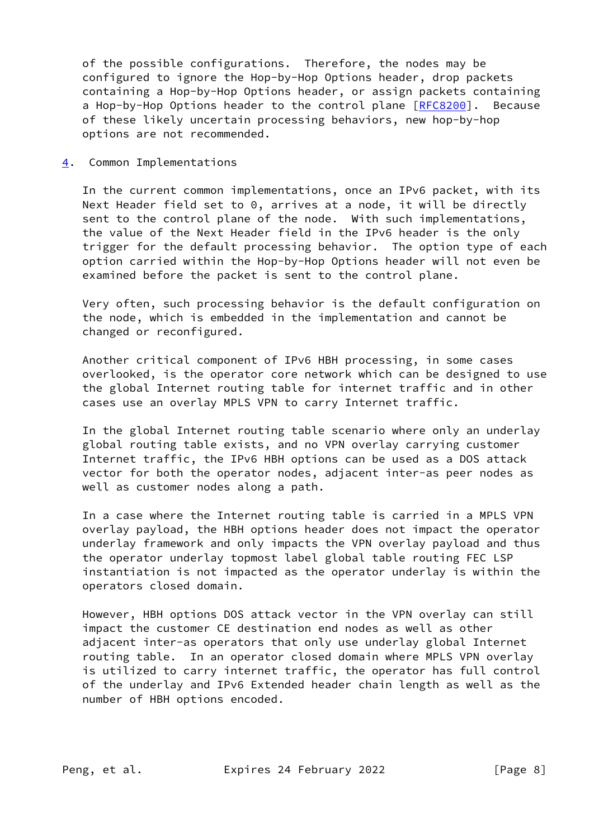of the possible configurations. Therefore, the nodes may be configured to ignore the Hop-by-Hop Options header, drop packets containing a Hop-by-Hop Options header, or assign packets containing a Hop-by-Hop Options header to the control plane [\[RFC8200](https://datatracker.ietf.org/doc/pdf/rfc8200)]. Because of these likely uncertain processing behaviors, new hop-by-hop options are not recommended.

<span id="page-8-0"></span>[4](#page-8-0). Common Implementations

 In the current common implementations, once an IPv6 packet, with its Next Header field set to 0, arrives at a node, it will be directly sent to the control plane of the node. With such implementations, the value of the Next Header field in the IPv6 header is the only trigger for the default processing behavior. The option type of each option carried within the Hop-by-Hop Options header will not even be examined before the packet is sent to the control plane.

 Very often, such processing behavior is the default configuration on the node, which is embedded in the implementation and cannot be changed or reconfigured.

 Another critical component of IPv6 HBH processing, in some cases overlooked, is the operator core network which can be designed to use the global Internet routing table for internet traffic and in other cases use an overlay MPLS VPN to carry Internet traffic.

 In the global Internet routing table scenario where only an underlay global routing table exists, and no VPN overlay carrying customer Internet traffic, the IPv6 HBH options can be used as a DOS attack vector for both the operator nodes, adjacent inter-as peer nodes as well as customer nodes along a path.

 In a case where the Internet routing table is carried in a MPLS VPN overlay payload, the HBH options header does not impact the operator underlay framework and only impacts the VPN overlay payload and thus the operator underlay topmost label global table routing FEC LSP instantiation is not impacted as the operator underlay is within the operators closed domain.

 However, HBH options DOS attack vector in the VPN overlay can still impact the customer CE destination end nodes as well as other adjacent inter-as operators that only use underlay global Internet routing table. In an operator closed domain where MPLS VPN overlay is utilized to carry internet traffic, the operator has full control of the underlay and IPv6 Extended header chain length as well as the number of HBH options encoded.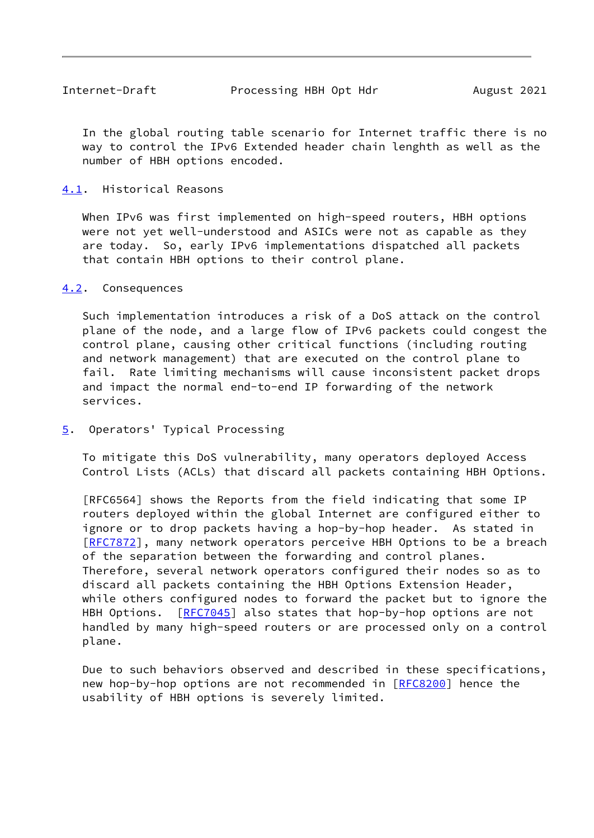<span id="page-9-1"></span> In the global routing table scenario for Internet traffic there is no way to control the IPv6 Extended header chain lenghth as well as the number of HBH options encoded.

## <span id="page-9-0"></span>[4.1](#page-9-0). Historical Reasons

 When IPv6 was first implemented on high-speed routers, HBH options were not yet well-understood and ASICs were not as capable as they are today. So, early IPv6 implementations dispatched all packets that contain HBH options to their control plane.

### <span id="page-9-2"></span>[4.2](#page-9-2). Consequences

 Such implementation introduces a risk of a DoS attack on the control plane of the node, and a large flow of IPv6 packets could congest the control plane, causing other critical functions (including routing and network management) that are executed on the control plane to fail. Rate limiting mechanisms will cause inconsistent packet drops and impact the normal end-to-end IP forwarding of the network services.

<span id="page-9-3"></span>[5](#page-9-3). Operators' Typical Processing

 To mitigate this DoS vulnerability, many operators deployed Access Control Lists (ACLs) that discard all packets containing HBH Options.

 [RFC6564] shows the Reports from the field indicating that some IP routers deployed within the global Internet are configured either to ignore or to drop packets having a hop-by-hop header. As stated in [\[RFC7872](https://datatracker.ietf.org/doc/pdf/rfc7872)], many network operators perceive HBH Options to be a breach of the separation between the forwarding and control planes. Therefore, several network operators configured their nodes so as to discard all packets containing the HBH Options Extension Header, while others configured nodes to forward the packet but to ignore the HBH Options. [[RFC7045](https://datatracker.ietf.org/doc/pdf/rfc7045)] also states that hop-by-hop options are not handled by many high-speed routers or are processed only on a control plane.

 Due to such behaviors observed and described in these specifications, new hop-by-hop options are not recommended in [[RFC8200](https://datatracker.ietf.org/doc/pdf/rfc8200)] hence the usability of HBH options is severely limited.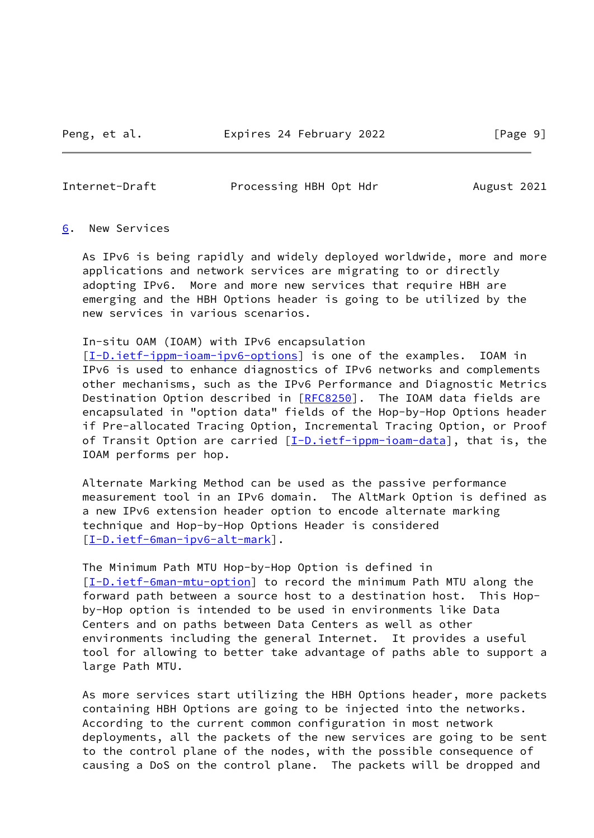<span id="page-10-1"></span>Internet-Draft Processing HBH Opt Hdr August 2021

#### <span id="page-10-0"></span>[6](#page-10-0). New Services

 As IPv6 is being rapidly and widely deployed worldwide, more and more applications and network services are migrating to or directly adopting IPv6. More and more new services that require HBH are emerging and the HBH Options header is going to be utilized by the new services in various scenarios.

### In-situ OAM (IOAM) with IPv6 encapsulation

 [\[I-D.ietf-ippm-ioam-ipv6-options](#page-14-1)] is one of the examples. IOAM in IPv6 is used to enhance diagnostics of IPv6 networks and complements other mechanisms, such as the IPv6 Performance and Diagnostic Metrics Destination Option described in [\[RFC8250](https://datatracker.ietf.org/doc/pdf/rfc8250)]. The IOAM data fields are encapsulated in "option data" fields of the Hop-by-Hop Options header if Pre-allocated Tracing Option, Incremental Tracing Option, or Proof of Transit Option are carried [[I-D.ietf-ippm-ioam-data](#page-14-2)], that is, the IOAM performs per hop.

 Alternate Marking Method can be used as the passive performance measurement tool in an IPv6 domain. The AltMark Option is defined as a new IPv6 extension header option to encode alternate marking technique and Hop-by-Hop Options Header is considered [\[I-D.ietf-6man-ipv6-alt-mark](#page-13-2)].

 The Minimum Path MTU Hop-by-Hop Option is defined in [\[I-D.ietf-6man-mtu-option](#page-14-3)] to record the minimum Path MTU along the forward path between a source host to a destination host. This Hop by-Hop option is intended to be used in environments like Data Centers and on paths between Data Centers as well as other environments including the general Internet. It provides a useful tool for allowing to better take advantage of paths able to support a large Path MTU.

 As more services start utilizing the HBH Options header, more packets containing HBH Options are going to be injected into the networks. According to the current common configuration in most network deployments, all the packets of the new services are going to be sent to the control plane of the nodes, with the possible consequence of causing a DoS on the control plane. The packets will be dropped and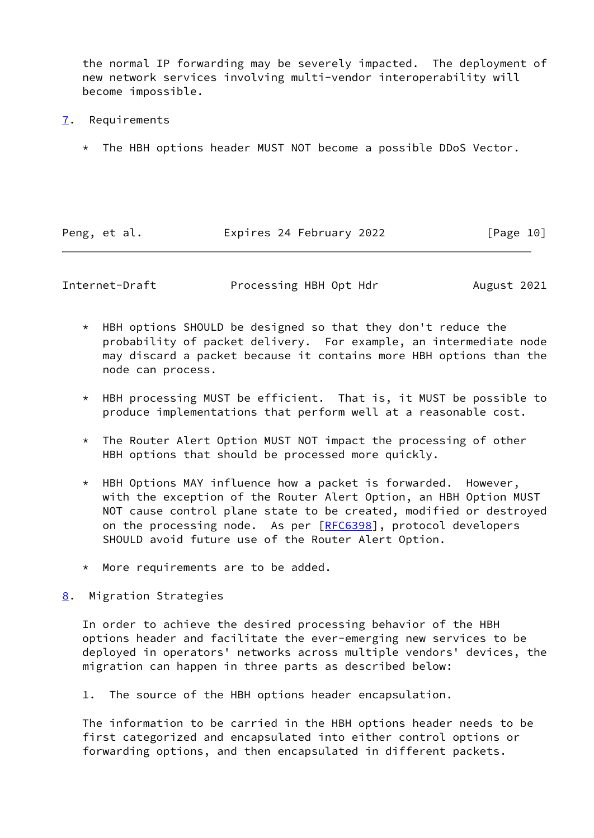the normal IP forwarding may be severely impacted. The deployment of new network services involving multi-vendor interoperability will become impossible.

- <span id="page-11-0"></span>[7](#page-11-0). Requirements
	- \* The HBH options header MUST NOT become a possible DDoS Vector.

| Peng, et al. | Expires 24 February 2022 | [Page 10] |
|--------------|--------------------------|-----------|
|              |                          |           |

<span id="page-11-2"></span>Internet-Draft Processing HBH Opt Hdr August 2021

- \* HBH options SHOULD be designed so that they don't reduce the probability of packet delivery. For example, an intermediate node may discard a packet because it contains more HBH options than the node can process.
- \* HBH processing MUST be efficient. That is, it MUST be possible to produce implementations that perform well at a reasonable cost.
- \* The Router Alert Option MUST NOT impact the processing of other HBH options that should be processed more quickly.
- \* HBH Options MAY influence how a packet is forwarded. However, with the exception of the Router Alert Option, an HBH Option MUST NOT cause control plane state to be created, modified or destroyed on the processing node. As per [[RFC6398\]](https://datatracker.ietf.org/doc/pdf/rfc6398), protocol developers SHOULD avoid future use of the Router Alert Option.
- \* More requirements are to be added.
- <span id="page-11-1"></span>[8](#page-11-1). Migration Strategies

 In order to achieve the desired processing behavior of the HBH options header and facilitate the ever-emerging new services to be deployed in operators' networks across multiple vendors' devices, the migration can happen in three parts as described below:

1. The source of the HBH options header encapsulation.

 The information to be carried in the HBH options header needs to be first categorized and encapsulated into either control options or forwarding options, and then encapsulated in different packets.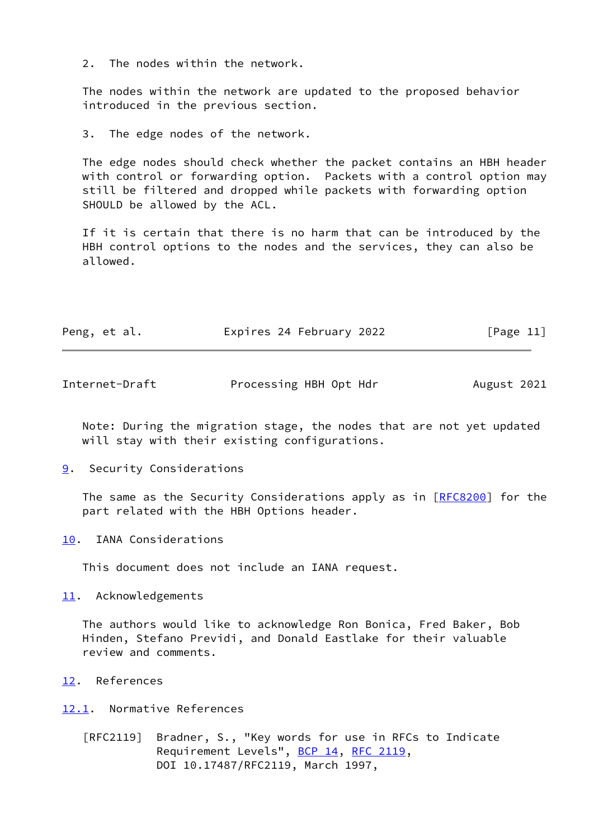2. The nodes within the network.

 The nodes within the network are updated to the proposed behavior introduced in the previous section.

3. The edge nodes of the network.

 The edge nodes should check whether the packet contains an HBH header with control or forwarding option. Packets with a control option may still be filtered and dropped while packets with forwarding option SHOULD be allowed by the ACL.

 If it is certain that there is no harm that can be introduced by the HBH control options to the nodes and the services, they can also be allowed.

| Peng, et al. |  | Expires 24 February 2022 | [Page 11] |
|--------------|--|--------------------------|-----------|
|--------------|--|--------------------------|-----------|

<span id="page-12-1"></span>

| Internet-Draft | Processing HBH Opt Hdr | August 2021 |
|----------------|------------------------|-------------|
|                |                        |             |

 Note: During the migration stage, the nodes that are not yet updated will stay with their existing configurations.

<span id="page-12-0"></span>[9](#page-12-0). Security Considerations

The same as the Security Considerations apply as in [\[RFC8200](https://datatracker.ietf.org/doc/pdf/rfc8200)] for the part related with the HBH Options header.

<span id="page-12-2"></span>[10.](#page-12-2) IANA Considerations

This document does not include an IANA request.

<span id="page-12-3"></span>[11.](#page-12-3) Acknowledgements

 The authors would like to acknowledge Ron Bonica, Fred Baker, Bob Hinden, Stefano Previdi, and Donald Eastlake for their valuable review and comments.

<span id="page-12-4"></span>[12.](#page-12-4) References

<span id="page-12-5"></span>[12.1](#page-12-5). Normative References

 [RFC2119] Bradner, S., "Key words for use in RFCs to Indicate Requirement Levels", [BCP 14](https://datatracker.ietf.org/doc/pdf/bcp14), [RFC 2119](https://datatracker.ietf.org/doc/pdf/rfc2119), DOI 10.17487/RFC2119, March 1997,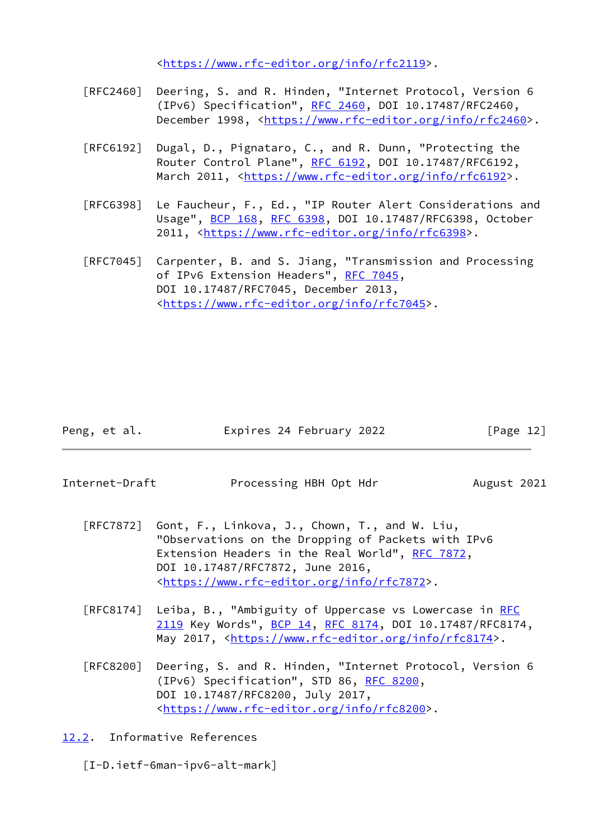<[https://www.rfc-editor.org/info/rfc2119>](https://www.rfc-editor.org/info/rfc2119).

- [RFC2460] Deering, S. and R. Hinden, "Internet Protocol, Version 6 (IPv6) Specification", [RFC 2460](https://datatracker.ietf.org/doc/pdf/rfc2460), DOI 10.17487/RFC2460, December 1998, <<https://www.rfc-editor.org/info/rfc2460>>.
- [RFC6192] Dugal, D., Pignataro, C., and R. Dunn, "Protecting the Router Control Plane", [RFC 6192](https://datatracker.ietf.org/doc/pdf/rfc6192), DOI 10.17487/RFC6192, March 2011, [<https://www.rfc-editor.org/info/rfc6192](https://www.rfc-editor.org/info/rfc6192)>.
- [RFC6398] Le Faucheur, F., Ed., "IP Router Alert Considerations and Usage", [BCP 168](https://datatracker.ietf.org/doc/pdf/bcp168), [RFC 6398,](https://datatracker.ietf.org/doc/pdf/rfc6398) DOI 10.17487/RFC6398, October 2011, [<https://www.rfc-editor.org/info/rfc6398](https://www.rfc-editor.org/info/rfc6398)>.
- [RFC7045] Carpenter, B. and S. Jiang, "Transmission and Processing of IPv6 Extension Headers", [RFC 7045,](https://datatracker.ietf.org/doc/pdf/rfc7045) DOI 10.17487/RFC7045, December 2013, <[https://www.rfc-editor.org/info/rfc7045>](https://www.rfc-editor.org/info/rfc7045).

| Peng, et al. | Expires 24 February 2022 | [Page 12] |
|--------------|--------------------------|-----------|
|              |                          |           |

<span id="page-13-1"></span>Internet-Draft **Processing HBH Opt Hdr** August 2021

- [RFC7872] Gont, F., Linkova, J., Chown, T., and W. Liu, "Observations on the Dropping of Packets with IPv6 Extension Headers in the Real World", [RFC 7872](https://datatracker.ietf.org/doc/pdf/rfc7872), DOI 10.17487/RFC7872, June 2016, <[https://www.rfc-editor.org/info/rfc7872>](https://www.rfc-editor.org/info/rfc7872).
- [RFC8174] Leiba, B., "Ambiguity of Uppercase vs Lowercase in [RFC](https://datatracker.ietf.org/doc/pdf/rfc2119) [2119](https://datatracker.ietf.org/doc/pdf/rfc2119) Key Words", [BCP 14](https://datatracker.ietf.org/doc/pdf/bcp14), [RFC 8174,](https://datatracker.ietf.org/doc/pdf/rfc8174) DOI 10.17487/RFC8174, May 2017, [<https://www.rfc-editor.org/info/rfc8174](https://www.rfc-editor.org/info/rfc8174)>.
- [RFC8200] Deering, S. and R. Hinden, "Internet Protocol, Version 6 (IPv6) Specification", STD 86, [RFC 8200](https://datatracker.ietf.org/doc/pdf/rfc8200), DOI 10.17487/RFC8200, July 2017, <[https://www.rfc-editor.org/info/rfc8200>](https://www.rfc-editor.org/info/rfc8200).

<span id="page-13-0"></span>[12.2](#page-13-0). Informative References

<span id="page-13-2"></span>[I-D.ietf-6man-ipv6-alt-mark]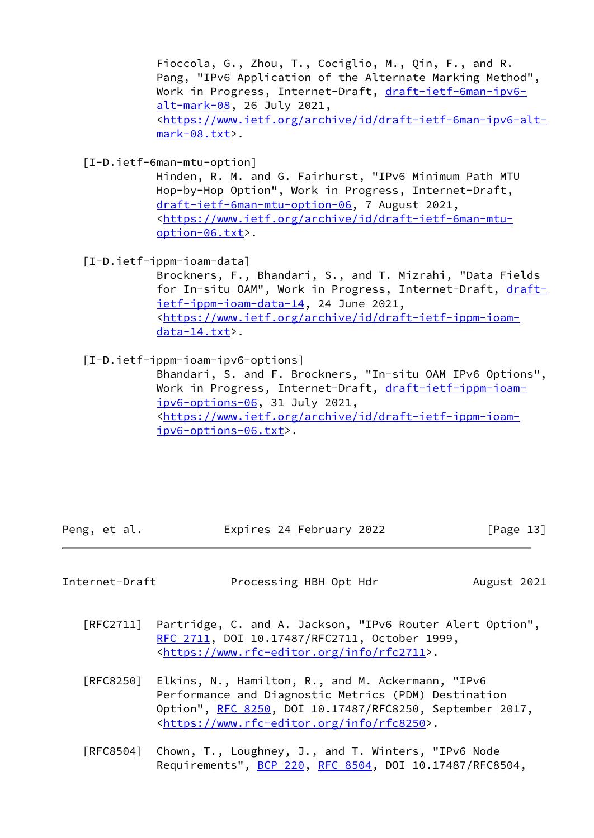Fioccola, G., Zhou, T., Cociglio, M., Qin, F., and R. Pang, "IPv6 Application of the Alternate Marking Method", Work in Progress, Internet-Draft, [draft-ietf-6man-ipv6](https://datatracker.ietf.org/doc/pdf/draft-ietf-6man-ipv6-alt-mark-08) [alt-mark-08](https://datatracker.ietf.org/doc/pdf/draft-ietf-6man-ipv6-alt-mark-08), 26 July 2021, <[https://www.ietf.org/archive/id/draft-ietf-6man-ipv6-alt](https://www.ietf.org/archive/id/draft-ietf-6man-ipv6-alt-mark-08.txt) [mark-08.txt](https://www.ietf.org/archive/id/draft-ietf-6man-ipv6-alt-mark-08.txt)>.

<span id="page-14-3"></span>[I-D.ietf-6man-mtu-option]

 Hinden, R. M. and G. Fairhurst, "IPv6 Minimum Path MTU Hop-by-Hop Option", Work in Progress, Internet-Draft, [draft-ietf-6man-mtu-option-06,](https://datatracker.ietf.org/doc/pdf/draft-ietf-6man-mtu-option-06) 7 August 2021, <[https://www.ietf.org/archive/id/draft-ietf-6man-mtu](https://www.ietf.org/archive/id/draft-ietf-6man-mtu-option-06.txt) [option-06.txt>](https://www.ietf.org/archive/id/draft-ietf-6man-mtu-option-06.txt).

<span id="page-14-2"></span>[I-D.ietf-ippm-ioam-data]

 Brockners, F., Bhandari, S., and T. Mizrahi, "Data Fields for In-situ OAM", Work in Progress, Internet-Draft, [draft](https://datatracker.ietf.org/doc/pdf/draft-ietf-ippm-ioam-data-14) [ietf-ippm-ioam-data-14](https://datatracker.ietf.org/doc/pdf/draft-ietf-ippm-ioam-data-14), 24 June 2021, <[https://www.ietf.org/archive/id/draft-ietf-ippm-ioam](https://www.ietf.org/archive/id/draft-ietf-ippm-ioam-data-14.txt) [data-14.txt](https://www.ietf.org/archive/id/draft-ietf-ippm-ioam-data-14.txt)>.

<span id="page-14-1"></span>[I-D.ietf-ippm-ioam-ipv6-options]

 Bhandari, S. and F. Brockners, "In-situ OAM IPv6 Options", Work in Progress, Internet-Draft, [draft-ietf-ippm-ioam](https://datatracker.ietf.org/doc/pdf/draft-ietf-ippm-ioam-ipv6-options-06) [ipv6-options-06](https://datatracker.ietf.org/doc/pdf/draft-ietf-ippm-ioam-ipv6-options-06), 31 July 2021, <[https://www.ietf.org/archive/id/draft-ietf-ippm-ioam](https://www.ietf.org/archive/id/draft-ietf-ippm-ioam-ipv6-options-06.txt) [ipv6-options-06.txt](https://www.ietf.org/archive/id/draft-ietf-ippm-ioam-ipv6-options-06.txt)>.

Peng, et al. Expires 24 February 2022 [Page 13]

<span id="page-14-0"></span>Internet-Draft **Processing HBH Opt Hdr** August 2021

- [RFC2711] Partridge, C. and A. Jackson, "IPv6 Router Alert Option", [RFC 2711,](https://datatracker.ietf.org/doc/pdf/rfc2711) DOI 10.17487/RFC2711, October 1999, <[https://www.rfc-editor.org/info/rfc2711>](https://www.rfc-editor.org/info/rfc2711).
- [RFC8250] Elkins, N., Hamilton, R., and M. Ackermann, "IPv6 Performance and Diagnostic Metrics (PDM) Destination Option", [RFC 8250,](https://datatracker.ietf.org/doc/pdf/rfc8250) DOI 10.17487/RFC8250, September 2017, <[https://www.rfc-editor.org/info/rfc8250>](https://www.rfc-editor.org/info/rfc8250).
- [RFC8504] Chown, T., Loughney, J., and T. Winters, "IPv6 Node Requirements", **BCP 220, RFC 8504**, DOI 10.17487/RFC8504,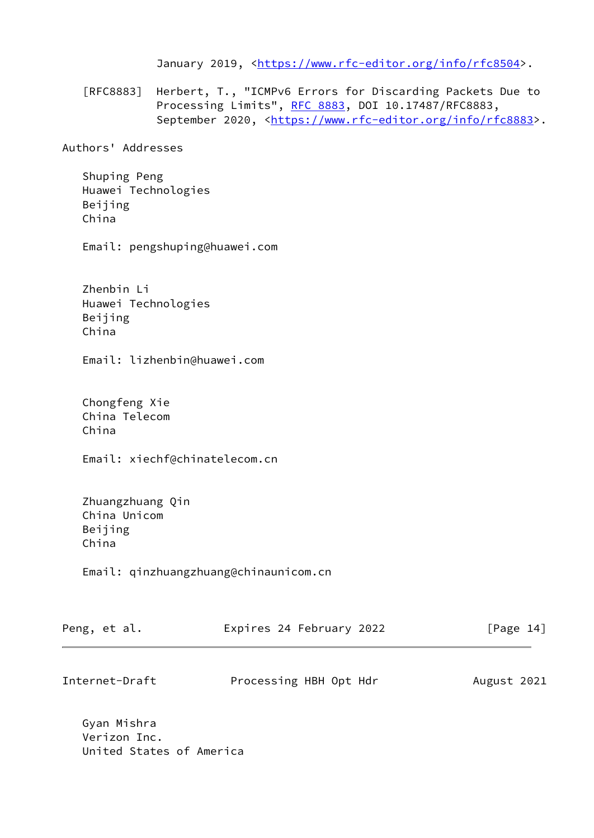January 2019, [<https://www.rfc-editor.org/info/rfc8504](https://www.rfc-editor.org/info/rfc8504)>.

 [RFC8883] Herbert, T., "ICMPv6 Errors for Discarding Packets Due to Processing Limits", [RFC 8883,](https://datatracker.ietf.org/doc/pdf/rfc8883) DOI 10.17487/RFC8883, September 2020, <[https://www.rfc-editor.org/info/rfc8883>](https://www.rfc-editor.org/info/rfc8883).

Authors' Addresses

 Shuping Peng Huawei Technologies Beijing China

Email: pengshuping@huawei.com

 Zhenbin Li Huawei Technologies Beijing China

Email: lizhenbin@huawei.com

 Chongfeng Xie China Telecom China

Email: xiechf@chinatelecom.cn

 Zhuangzhuang Qin China Unicom Beijing China

Email: qinzhuangzhuang@chinaunicom.cn

| Peng, et al.   | Expires 24 February 2022 | [Page 14]   |
|----------------|--------------------------|-------------|
| Internet-Draft | Processing HBH Opt Hdr   | August 2021 |

 Gyan Mishra Verizon Inc. United States of America